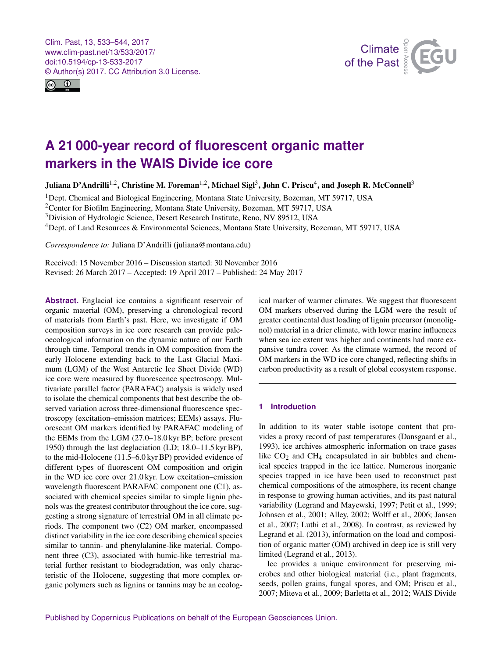<span id="page-0-1"></span>Clim. Past, 13, 533–544, 2017 www.clim-past.net/13/533/2017/ doi:10.5194/cp-13-533-2017 © Author(s) 2017. CC Attribution 3.0 License.





# **A 21 000-year record of fluorescent organic matter markers in the WAIS Divide ice core**

Juliana D'Andrilli<sup>[1,2](#page-0-0)</sup>, Christine M. Foreman<sup>1,2</sup>, Michael Sigl<sup>[3](#page-0-0)</sup>, John C. Priscu<sup>[4](#page-0-0)</sup>, and Joseph R. McConnell<sup>3</sup>

 $1$ Dept. Chemical and Biological Engineering, Montana State University, Bozeman, MT 59717, USA

<sup>2</sup>Center for Biofilm Engineering, Montana State University, Bozeman, MT 59717, USA

<sup>3</sup>Division of Hydrologic Science, Desert Research Institute, Reno, NV 89512, USA

<sup>4</sup>Dept. of Land Resources & Environmental Sciences, Montana State University, Bozeman, MT 59717, USA

*Correspondence to:* Juliana D'Andrilli (juliana@montana.edu)

Received: 15 November 2016 – Discussion started: 30 November 2016 Revised: 26 March 2017 – Accepted: 19 April 2017 – Published: 24 May 2017

<span id="page-0-0"></span>**Abstract.** Englacial ice contains a significant reservoir of organic material (OM), preserving a chronological record of materials from Earth's past. Here, we investigate if OM composition surveys in ice core research can provide paleoecological information on the dynamic nature of our Earth through time. Temporal trends in OM composition from the early Holocene extending back to the Last Glacial Maximum (LGM) of the West Antarctic Ice Sheet Divide (WD) ice core were measured by fluorescence spectroscopy. Multivariate parallel factor (PARAFAC) analysis is widely used to isolate the chemical components that best describe the observed variation across three-dimensional fluorescence spectroscopy (excitation–emission matrices; EEMs) assays. Fluorescent OM markers identified by PARAFAC modeling of the EEMs from the LGM (27.0–18.0 kyr BP; before present 1950) through the last deglaciation (LD; 18.0–11.5 kyr BP), to the mid-Holocene (11.5–6.0 kyr BP) provided evidence of different types of fluorescent OM composition and origin in the WD ice core over 21.0 kyr. Low excitation–emission wavelength fluorescent PARAFAC component one (C1), associated with chemical species similar to simple lignin phenols was the greatest contributor throughout the ice core, suggesting a strong signature of terrestrial OM in all climate periods. The component two (C2) OM marker, encompassed distinct variability in the ice core describing chemical species similar to tannin- and phenylalanine-like material. Component three (C3), associated with humic-like terrestrial material further resistant to biodegradation, was only characteristic of the Holocene, suggesting that more complex organic polymers such as lignins or tannins may be an ecological marker of warmer climates. We suggest that fluorescent OM markers observed during the LGM were the result of greater continental dust loading of lignin precursor (monolignol) material in a drier climate, with lower marine influences when sea ice extent was higher and continents had more expansive tundra cover. As the climate warmed, the record of OM markers in the WD ice core changed, reflecting shifts in carbon productivity as a result of global ecosystem response.

# **1 Introduction**

In addition to its water stable isotope content that provides a proxy record of past temperatures (Dansgaard et al., 1993), ice archives atmospheric information on trace gases like  $CO<sub>2</sub>$  and  $CH<sub>4</sub>$  encapsulated in air bubbles and chemical species trapped in the ice lattice. Numerous inorganic species trapped in ice have been used to reconstruct past chemical compositions of the atmosphere, its recent change in response to growing human activities, and its past natural variability (Legrand and Mayewski, 1997; Petit et al., 1999; Johnsen et al., 2001; Alley, 2002; Wolff et al., 2006; Jansen et al., 2007; Luthi et al., 2008). In contrast, as reviewed by Legrand et al. (2013), information on the load and composition of organic matter (OM) archived in deep ice is still very limited (Legrand et al., 2013).

Ice provides a unique environment for preserving microbes and other biological material (i.e., plant fragments, seeds, pollen grains, fungal spores, and OM; Priscu et al., 2007; Miteva et al., 2009; Barletta et al., 2012; WAIS Divide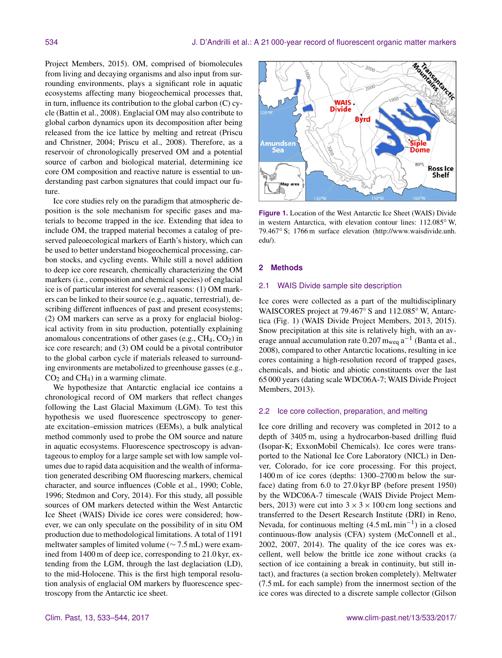Project Members, 2015). OM, comprised of biomolecules from living and decaying organisms and also input from surrounding environments, plays a significant role in aquatic ecosystems affecting many biogeochemical processes that, in turn, influence its contribution to the global carbon (C) cycle (Battin et al., 2008). Englacial OM may also contribute to global carbon dynamics upon its decomposition after being released from the ice lattice by melting and retreat (Priscu and Christner, 2004; Priscu et al., 2008). Therefore, as a reservoir of chronologically preserved OM and a potential source of carbon and biological material, determining ice core OM composition and reactive nature is essential to understanding past carbon signatures that could impact our future.

Ice core studies rely on the paradigm that atmospheric deposition is the sole mechanism for specific gases and materials to become trapped in the ice. Extending that idea to include OM, the trapped material becomes a catalog of preserved paleoecological markers of Earth's history, which can be used to better understand biogeochemical processing, carbon stocks, and cycling events. While still a novel addition to deep ice core research, chemically characterizing the OM markers (i.e., composition and chemical species) of englacial ice is of particular interest for several reasons: (1) OM markers can be linked to their source (e.g., aquatic, terrestrial), describing different influences of past and present ecosystems; (2) OM markers can serve as a proxy for englacial biological activity from in situ production, potentially explaining anomalous concentrations of other gases (e.g.,  $CH_4$ ,  $CO_2$ ) in ice core research; and (3) OM could be a pivotal contributor to the global carbon cycle if materials released to surrounding environments are metabolized to greenhouse gasses (e.g.,  $CO<sub>2</sub>$  and  $CH<sub>4</sub>$ ) in a warming climate.

We hypothesize that Antarctic englacial ice contains a chronological record of OM markers that reflect changes following the Last Glacial Maximum (LGM). To test this hypothesis we used fluorescence spectroscopy to generate excitation–emission matrices (EEMs), a bulk analytical method commonly used to probe the OM source and nature in aquatic ecosystems. Fluorescence spectroscopy is advantageous to employ for a large sample set with low sample volumes due to rapid data acquisition and the wealth of information generated describing OM fluorescing markers, chemical character, and source influences (Coble et al., 1990; Coble, 1996; Stedmon and Cory, 2014). For this study, all possible sources of OM markers detected within the West Antarctic Ice Sheet (WAIS) Divide ice cores were considered; however, we can only speculate on the possibility of in situ OM production due to methodological limitations. A total of 1191 meltwater samples of limited volume (∼ 7.5 mL) were examined from 1400 m of deep ice, corresponding to 21.0 kyr, extending from the LGM, through the last deglaciation (LD), to the mid-Holocene. This is the first high temporal resolution analysis of englacial OM markers by fluorescence spectroscopy from the Antarctic ice sheet.



**Figure 1.** Location of the West Antarctic Ice Sheet (WAIS) Divide in western Antarctica, with elevation contour lines: 112.085◦ W, 79.467◦ S; 1766 m surface elevation [\(http://www.waisdivide.unh.](http://www.waisdivide.unh.edu/) [edu/\)](http://www.waisdivide.unh.edu/).

# **2 Methods**

## 2.1 WAIS Divide sample site description

Ice cores were collected as a part of the multidisciplinary WAISCORES project at 79.467◦ S and 112.085◦ W, Antarctica (Fig. 1) (WAIS Divide Project Members, 2013, 2015). Snow precipitation at this site is relatively high, with an average annual accumulation rate  $0.207$  m<sub>weq</sub> a<sup>-1</sup> (Banta et al., 2008), compared to other Antarctic locations, resulting in ice cores containing a high-resolution record of trapped gases, chemicals, and biotic and abiotic constituents over the last 65 000 years (dating scale WDC06A-7; WAIS Divide Project Members, 2013).

# 2.2 Ice core collection, preparation, and melting

Ice core drilling and recovery was completed in 2012 to a depth of 3405 m, using a hydrocarbon-based drilling fluid (Isopar-K; ExxonMobil Chemicals). Ice cores were transported to the National Ice Core Laboratory (NICL) in Denver, Colorado, for ice core processing. For this project, 1400 m of ice cores (depths: 1300–2700 m below the surface) dating from 6.0 to 27.0 kyr BP (before present 1950) by the WDC06A-7 timescale (WAIS Divide Project Members, 2013) were cut into  $3 \times 3 \times 100$  cm long sections and transferred to the Desert Research Institute (DRI) in Reno, Nevada, for continuous melting  $(4.5 \text{ mL min}^{-1})$  in a closed continuous-flow analysis (CFA) system (McConnell et al., 2002, 2007, 2014). The quality of the ice cores was excellent, well below the brittle ice zone without cracks (a section of ice containing a break in continuity, but still intact), and fractures (a section broken completely). Meltwater (7.5 mL for each sample) from the innermost section of the ice cores was directed to a discrete sample collector (Gilson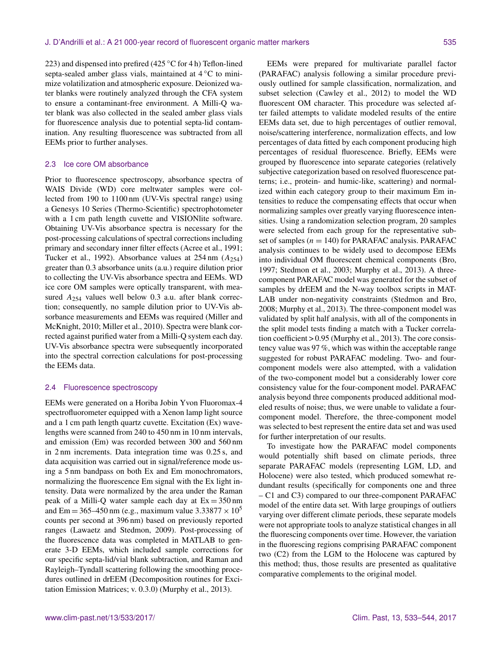223) and dispensed into prefired (425  $\degree$ C for 4 h) Teflon-lined septa-sealed amber glass vials, maintained at 4 °C to minimize volatilization and atmospheric exposure. Deionized water blanks were routinely analyzed through the CFA system to ensure a contaminant-free environment. A Milli-Q water blank was also collected in the sealed amber glass vials for fluorescence analysis due to potential septa-lid contamination. Any resulting fluorescence was subtracted from all EEMs prior to further analyses.

# 2.3 Ice core OM absorbance

Prior to fluorescence spectroscopy, absorbance spectra of WAIS Divide (WD) core meltwater samples were collected from 190 to 1100 nm (UV-Vis spectral range) using a Genesys 10 Series (Thermo-Scientific) spectrophotometer with a 1 cm path length cuvette and VISIONlite software. Obtaining UV-Vis absorbance spectra is necessary for the post-processing calculations of spectral corrections including primary and secondary inner filter effects (Acree et al., 1991; Tucker et al., 1992). Absorbance values at  $254 \text{ nm}$   $(A_{254})$ greater than 0.3 absorbance units (a.u.) require dilution prior to collecting the UV-Vis absorbance spectra and EEMs. WD ice core OM samples were optically transparent, with measured A<sub>254</sub> values well below 0.3 a.u. after blank correction; consequently, no sample dilution prior to UV-Vis absorbance measurements and EEMs was required (Miller and McKnight, 2010; Miller et al., 2010). Spectra were blank corrected against purified water from a Milli-Q system each day. UV-Vis absorbance spectra were subsequently incorporated into the spectral correction calculations for post-processing the EEMs data.

### 2.4 Fluorescence spectroscopy

EEMs were generated on a Horiba Jobin Yvon Fluoromax-4 spectrofluorometer equipped with a Xenon lamp light source and a 1 cm path length quartz cuvette. Excitation (Ex) wavelengths were scanned from 240 to 450 nm in 10 nm intervals, and emission (Em) was recorded between 300 and 560 nm in 2 nm increments. Data integration time was 0.25 s, and data acquisition was carried out in signal/reference mode using a 5 nm bandpass on both Ex and Em monochromators, normalizing the fluorescence Em signal with the Ex light intensity. Data were normalized by the area under the Raman peak of a Milli-Q water sample each day at  $Ex = 350$  nm and Em = 365–450 nm (e.g., maximum value 3.33877  $\times$  10<sup>5</sup> counts per second at 396 nm) based on previously reported ranges (Lawaetz and Stedmon, 2009). Post-processing of the fluorescence data was completed in MATLAB to generate 3-D EEMs, which included sample corrections for our specific septa-lid/vial blank subtraction, and Raman and Rayleigh–Tyndall scattering following the smoothing procedures outlined in drEEM (Decomposition routines for Excitation Emission Matrices; v. 0.3.0) (Murphy et al., 2013).

EEMs were prepared for multivariate parallel factor (PARAFAC) analysis following a similar procedure previously outlined for sample classification, normalization, and subset selection (Cawley et al., 2012) to model the WD fluorescent OM character. This procedure was selected after failed attempts to validate modeled results of the entire EEMs data set, due to high percentages of outlier removal, noise/scattering interference, normalization effects, and low percentages of data fitted by each component producing high percentages of residual fluorescence. Briefly, EEMs were grouped by fluorescence into separate categories (relatively subjective categorization based on resolved fluorescence patterns; i.e., protein- and humic-like, scattering) and normalized within each category group to their maximum Em intensities to reduce the compensating effects that occur when normalizing samples over greatly varying fluorescence intensities. Using a randomization selection program, 20 samples were selected from each group for the representative subset of samples ( $n = 140$ ) for PARAFAC analysis. PARAFAC analysis continues to be widely used to decompose EEMs into individual OM fluorescent chemical components (Bro, 1997; Stedmon et al., 2003; Murphy et al., 2013). A threecomponent PARAFAC model was generated for the subset of samples by drEEM and the N-way toolbox scripts in MAT-LAB under non-negativity constraints (Stedmon and Bro, 2008; Murphy et al., 2013). The three-component model was validated by split half analysis, with all of the components in the split model tests finding a match with a Tucker correlation coefficient > 0.95 (Murphy et al., 2013). The core consistency value was 97 %, which was within the acceptable range suggested for robust PARAFAC modeling. Two- and fourcomponent models were also attempted, with a validation of the two-component model but a considerably lower core consistency value for the four-component model. PARAFAC analysis beyond three components produced additional modeled results of noise; thus, we were unable to validate a fourcomponent model. Therefore, the three-component model was selected to best represent the entire data set and was used for further interpretation of our results.

To investigate how the PARAFAC model components would potentially shift based on climate periods, three separate PARAFAC models (representing LGM, LD, and Holocene) were also tested, which produced somewhat redundant results (specifically for components one and three – C1 and C3) compared to our three-component PARAFAC model of the entire data set. With large groupings of outliers varying over different climate periods, these separate models were not appropriate tools to analyze statistical changes in all the fluorescing components over time. However, the variation in the fluorescing regions comprising PARAFAC component two (C2) from the LGM to the Holocene was captured by this method; thus, those results are presented as qualitative comparative complements to the original model.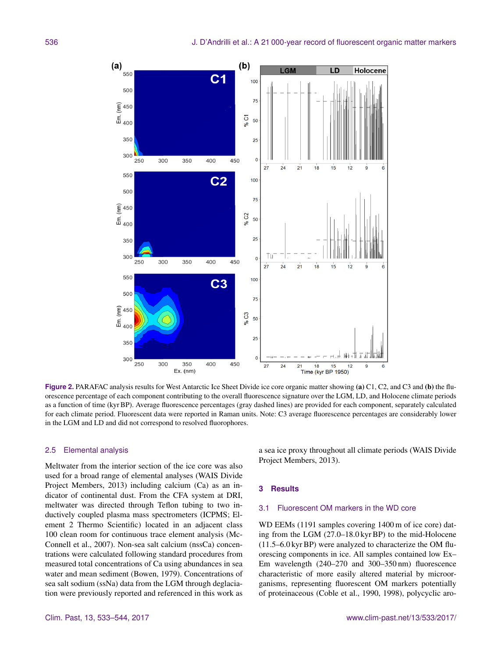

**Figure 2.** PARAFAC analysis results for West Antarctic Ice Sheet Divide ice core organic matter showing (a) C1, C2, and C3 and (b) the fluorescence percentage of each component contributing to the overall fluorescence signature over the LGM, LD, and Holocene climate periods as a function of time (kyr BP). Average fluorescence percentages (gray dashed lines) are provided for each component, separately calculated for each climate period. Fluorescent data were reported in Raman units. Note: C3 average fluorescence percentages are considerably lower in the LGM and LD and did not correspond to resolved fluorophores.

## 2.5 Elemental analysis

Meltwater from the interior section of the ice core was also used for a broad range of elemental analyses (WAIS Divide Project Members, 2013) including calcium (Ca) as an indicator of continental dust. From the CFA system at DRI, meltwater was directed through Teflon tubing to two inductively coupled plasma mass spectrometers (ICPMS; Element 2 Thermo Scientific) located in an adjacent class 100 clean room for continuous trace element analysis (Mc-Connell et al., 2007). Non-sea salt calcium (nssCa) concentrations were calculated following standard procedures from measured total concentrations of Ca using abundances in sea water and mean sediment (Bowen, 1979). Concentrations of sea salt sodium (ssNa) data from the LGM through deglaciation were previously reported and referenced in this work as a sea ice proxy throughout all climate periods (WAIS Divide Project Members, 2013).

#### **3 Results**

# 3.1 Fluorescent OM markers in the WD core

WD EEMs (1191 samples covering 1400 m of ice core) dating from the LGM (27.0–18.0 kyr BP) to the mid-Holocene (11.5–6.0 kyr BP) were analyzed to characterize the OM fluorescing components in ice. All samples contained low Ex– Em wavelength (240–270 and 300–350 nm) fluorescence characteristic of more easily altered material by microorganisms, representing fluorescent OM markers potentially of proteinaceous (Coble et al., 1990, 1998), polycyclic aro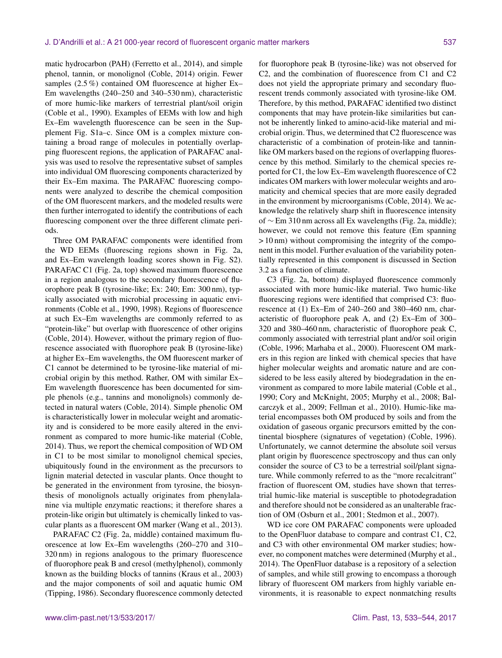matic hydrocarbon (PAH) (Ferretto et al., 2014), and simple phenol, tannin, or monolignol (Coble, 2014) origin. Fewer samples (2.5 %) contained OM fluorescence at higher Ex– Em wavelengths (240–250 and 340–530 nm), characteristic of more humic-like markers of terrestrial plant/soil origin (Coble et al., 1990). Examples of EEMs with low and high Ex–Em wavelength fluorescence can be seen in the Supplement Fig. S1a–c. Since OM is a complex mixture containing a broad range of molecules in potentially overlapping fluorescent regions, the application of PARAFAC analysis was used to resolve the representative subset of samples into individual OM fluorescing components characterized by their Ex–Em maxima. The PARAFAC fluorescing components were analyzed to describe the chemical composition of the OM fluorescent markers, and the modeled results were then further interrogated to identify the contributions of each fluorescing component over the three different climate periods.

Three OM PARAFAC components were identified from the WD EEMs (fluorescing regions shown in Fig. 2a, and Ex–Em wavelength loading scores shown in Fig. S2). PARAFAC C1 (Fig. 2a, top) showed maximum fluorescence in a region analogous to the secondary fluorescence of fluorophore peak B (tyrosine-like; Ex: 240; Em: 300 nm), typically associated with microbial processing in aquatic environments (Coble et al., 1990, 1998). Regions of fluorescence at such Ex–Em wavelengths are commonly referred to as "protein-like" but overlap with fluorescence of other origins (Coble, 2014). However, without the primary region of fluorescence associated with fluorophore peak B (tyrosine-like) at higher Ex–Em wavelengths, the OM fluorescent marker of C1 cannot be determined to be tyrosine-like material of microbial origin by this method. Rather, OM with similar Ex– Em wavelength fluorescence has been documented for simple phenols (e.g., tannins and monolignols) commonly detected in natural waters (Coble, 2014). Simple phenolic OM is characteristically lower in molecular weight and aromaticity and is considered to be more easily altered in the environment as compared to more humic-like material (Coble, 2014). Thus, we report the chemical composition of WD OM in C1 to be most similar to monolignol chemical species, ubiquitously found in the environment as the precursors to lignin material detected in vascular plants. Once thought to be generated in the environment from tyrosine, the biosynthesis of monolignols actually originates from phenylalanine via multiple enzymatic reactions; it therefore shares a protein-like origin but ultimately is chemically linked to vascular plants as a fluorescent OM marker (Wang et al., 2013).

PARAFAC C2 (Fig. 2a, middle) contained maximum fluorescence at low Ex–Em wavelengths (260–270 and 310– 320 nm) in regions analogous to the primary fluorescence of fluorophore peak B and cresol (methylphenol), commonly known as the building blocks of tannins (Kraus et al., 2003) and the major components of soil and aquatic humic OM (Tipping, 1986). Secondary fluorescence commonly detected for fluorophore peak B (tyrosine-like) was not observed for C2, and the combination of fluorescence from C1 and C2 does not yield the appropriate primary and secondary fluorescent trends commonly associated with tyrosine-like OM. Therefore, by this method, PARAFAC identified two distinct components that may have protein-like similarities but cannot be inherently linked to amino-acid-like material and microbial origin. Thus, we determined that C2 fluorescence was characteristic of a combination of protein-like and tanninlike OM markers based on the regions of overlapping fluorescence by this method. Similarly to the chemical species reported for C1, the low Ex–Em wavelength fluorescence of C2 indicates OM markers with lower molecular weights and aromaticity and chemical species that are more easily degraded in the environment by microorganisms (Coble, 2014). We acknowledge the relatively sharp shift in fluorescence intensity of ∼ Em 310 nm across all Ex wavelengths (Fig. 2a, middle); however, we could not remove this feature (Em spanning > 10 nm) without compromising the integrity of the component in this model. Further evaluation of the variability potentially represented in this component is discussed in Section 3.2 as a function of climate.

C3 (Fig. 2a, bottom) displayed fluorescence commonly associated with more humic-like material. Two humic-like fluorescing regions were identified that comprised C3: fluorescence at (1) Ex–Em of 240–260 and 380–460 nm, characteristic of fluorophore peak A, and (2) Ex–Em of 300– 320 and 380–460 nm, characteristic of fluorophore peak C, commonly associated with terrestrial plant and/or soil origin (Coble, 1996; Marhaba et al., 2000). Fluorescent OM markers in this region are linked with chemical species that have higher molecular weights and aromatic nature and are considered to be less easily altered by biodegradation in the environment as compared to more labile material (Coble et al., 1990; Cory and McKnight, 2005; Murphy et al., 2008; Balcarczyk et al., 2009; Fellman et al., 2010). Humic-like material encompasses both OM produced by soils and from the oxidation of gaseous organic precursors emitted by the continental biosphere (signatures of vegetation) (Coble, 1996). Unfortunately, we cannot determine the absolute soil versus plant origin by fluorescence spectroscopy and thus can only consider the source of C3 to be a terrestrial soil/plant signature. While commonly referred to as the "more recalcitrant" fraction of fluorescent OM, studies have shown that terrestrial humic-like material is susceptible to photodegradation and therefore should not be considered as an unalterable fraction of OM (Osburn et al., 2001; Stedmon et al., 2007).

WD ice core OM PARAFAC components were uploaded to the OpenFluor database to compare and contrast C1, C2, and C3 with other environmental OM marker studies; however, no component matches were determined (Murphy et al., 2014). The OpenFluor database is a repository of a selection of samples, and while still growing to encompass a thorough library of fluorescent OM markers from highly variable environments, it is reasonable to expect nonmatching results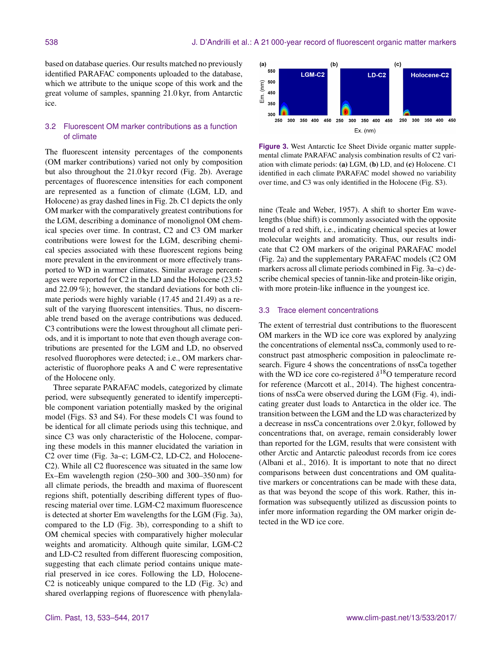based on database queries. Our results matched no previously identified PARAFAC components uploaded to the database, which we attribute to the unique scope of this work and the great volume of samples, spanning 21.0 kyr, from Antarctic ice.

# 3.2 Fluorescent OM marker contributions as a function of climate

The fluorescent intensity percentages of the components (OM marker contributions) varied not only by composition but also throughout the 21.0 kyr record (Fig. 2b). Average percentages of fluorescence intensities for each component are represented as a function of climate (LGM, LD, and Holocene) as gray dashed lines in Fig. 2b. C1 depicts the only OM marker with the comparatively greatest contributions for the LGM, describing a dominance of monolignol OM chemical species over time. In contrast, C2 and C3 OM marker contributions were lowest for the LGM, describing chemical species associated with these fluorescent regions being more prevalent in the environment or more effectively transported to WD in warmer climates. Similar average percentages were reported for C2 in the LD and the Holocene (23.52 and 22.09 %); however, the standard deviations for both climate periods were highly variable (17.45 and 21.49) as a result of the varying fluorescent intensities. Thus, no discernable trend based on the average contributions was deduced. C3 contributions were the lowest throughout all climate periods, and it is important to note that even though average contributions are presented for the LGM and LD, no observed resolved fluorophores were detected; i.e., OM markers characteristic of fluorophore peaks A and C were representative of the Holocene only.

Three separate PARAFAC models, categorized by climate period, were subsequently generated to identify imperceptible component variation potentially masked by the original model (Figs. S3 and S4). For these models C1 was found to be identical for all climate periods using this technique, and since C3 was only characteristic of the Holocene, comparing these models in this manner elucidated the variation in C2 over time (Fig. 3a–c; LGM-C2, LD-C2, and Holocene-C2). While all C2 fluorescence was situated in the same low Ex–Em wavelength region (250–300 and 300–350 nm) for all climate periods, the breadth and maxima of fluorescent regions shift, potentially describing different types of fluorescing material over time. LGM-C2 maximum fluorescence is detected at shorter Em wavelengths for the LGM (Fig. 3a), compared to the LD (Fig. 3b), corresponding to a shift to OM chemical species with comparatively higher molecular weights and aromaticity. Although quite similar, LGM-C2 and LD-C2 resulted from different fluorescing composition, suggesting that each climate period contains unique material preserved in ice cores. Following the LD, Holocene-C2 is noticeably unique compared to the LD (Fig. 3c) and shared overlapping regions of fluorescence with phenylala-



**Figure 3.** West Antarctic Ice Sheet Divide organic matter supplemental climate PARAFAC analysis combination results of C2 variation with climate periods: (a) LGM, (b) LD, and (c) Holocene. C1 identified in each climate PARAFAC model showed no variability over time, and C3 was only identified in the Holocene (Fig. S3).

nine (Teale and Weber, 1957). A shift to shorter Em wavelengths (blue shift) is commonly associated with the opposite trend of a red shift, i.e., indicating chemical species at lower molecular weights and aromaticity. Thus, our results indicate that C2 OM markers of the original PARAFAC model (Fig. 2a) and the supplementary PARAFAC models (C2 OM markers across all climate periods combined in Fig. 3a–c) describe chemical species of tannin-like and protein-like origin, with more protein-like influence in the youngest ice.

# 3.3 Trace element concentrations

The extent of terrestrial dust contributions to the fluorescent OM markers in the WD ice core was explored by analyzing the concentrations of elemental nssCa, commonly used to reconstruct past atmospheric composition in paleoclimate research. Figure 4 shows the concentrations of nssCa together with the WD ice core co-registered  $\delta^{18}$ O temperature record for reference (Marcott et al., 2014). The highest concentrations of nssCa were observed during the LGM (Fig. 4), indicating greater dust loads to Antarctica in the older ice. The transition between the LGM and the LD was characterized by a decrease in nssCa concentrations over 2.0 kyr, followed by concentrations that, on average, remain considerably lower than reported for the LGM, results that were consistent with other Arctic and Antarctic paleodust records from ice cores (Albani et al., 2016). It is important to note that no direct comparisons between dust concentrations and OM qualitative markers or concentrations can be made with these data, as that was beyond the scope of this work. Rather, this information was subsequently utilized as discussion points to infer more information regarding the OM marker origin detected in the WD ice core.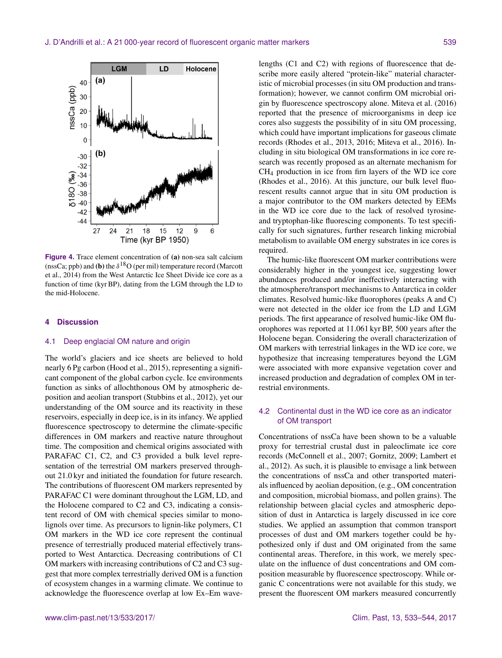

**Figure 4.** Trace element concentration of (a) non-sea salt calcium (nssCa; ppb) and (**b**) the  $\delta^{18}$ O (per mil) temperature record (Marcott et al., 2014) from the West Antarctic Ice Sheet Divide ice core as a function of time (kyr BP), dating from the LGM through the LD to the mid-Holocene.

## **4 Discussion**

#### 4.1 Deep englacial OM nature and origin

The world's glaciers and ice sheets are believed to hold nearly 6 Pg carbon (Hood et al., 2015), representing a significant component of the global carbon cycle. Ice environments function as sinks of allochthonous OM by atmospheric deposition and aeolian transport (Stubbins et al., 2012), yet our understanding of the OM source and its reactivity in these reservoirs, especially in deep ice, is in its infancy. We applied fluorescence spectroscopy to determine the climate-specific differences in OM markers and reactive nature throughout time. The composition and chemical origins associated with PARAFAC C1, C2, and C3 provided a bulk level representation of the terrestrial OM markers preserved throughout 21.0 kyr and initiated the foundation for future research. The contributions of fluorescent OM markers represented by PARAFAC C1 were dominant throughout the LGM, LD, and the Holocene compared to C2 and C3, indicating a consistent record of OM with chemical species similar to monolignols over time. As precursors to lignin-like polymers, C1 OM markers in the WD ice core represent the continual presence of terrestrially produced material effectively transported to West Antarctica. Decreasing contributions of C1 OM markers with increasing contributions of C2 and C3 suggest that more complex terrestrially derived OM is a function of ecosystem changes in a warming climate. We continue to acknowledge the fluorescence overlap at low Ex–Em wave-

lengths (C1 and C2) with regions of fluorescence that describe more easily altered "protein-like" material characteristic of microbial processes (in situ OM production and transformation); however, we cannot confirm OM microbial origin by fluorescence spectroscopy alone. Miteva et al. (2016) reported that the presence of microorganisms in deep ice cores also suggests the possibility of in situ OM processing, which could have important implications for gaseous climate records (Rhodes et al., 2013, 2016; Miteva et al., 2016). Including in situ biological OM transformations in ice core research was recently proposed as an alternate mechanism for CH<sup>4</sup> production in ice from firn layers of the WD ice core (Rhodes et al., 2016). At this juncture, our bulk level fluorescent results cannot argue that in situ OM production is a major contributor to the OM markers detected by EEMs in the WD ice core due to the lack of resolved tyrosineand tryptophan-like fluorescing components. To test specifically for such signatures, further research linking microbial metabolism to available OM energy substrates in ice cores is required.

The humic-like fluorescent OM marker contributions were considerably higher in the youngest ice, suggesting lower abundances produced and/or ineffectively interacting with the atmosphere/transport mechanisms to Antarctica in colder climates. Resolved humic-like fluorophores (peaks A and C) were not detected in the older ice from the LD and LGM periods. The first appearance of resolved humic-like OM fluorophores was reported at 11.061 kyr BP, 500 years after the Holocene began. Considering the overall characterization of OM markers with terrestrial linkages in the WD ice core, we hypothesize that increasing temperatures beyond the LGM were associated with more expansive vegetation cover and increased production and degradation of complex OM in terrestrial environments.

# 4.2 Continental dust in the WD ice core as an indicator of OM transport

Concentrations of nssCa have been shown to be a valuable proxy for terrestrial crustal dust in paleoclimate ice core records (McConnell et al., 2007; Gornitz, 2009; Lambert et al., 2012). As such, it is plausible to envisage a link between the concentrations of nssCa and other transported materials influenced by aeolian deposition, (e.g., OM concentration and composition, microbial biomass, and pollen grains). The relationship between glacial cycles and atmospheric deposition of dust in Antarctica is largely discussed in ice core studies. We applied an assumption that common transport processes of dust and OM markers together could be hypothesized only if dust and OM originated from the same continental areas. Therefore, in this work, we merely speculate on the influence of dust concentrations and OM composition measurable by fluorescence spectroscopy. While organic C concentrations were not available for this study, we present the fluorescent OM markers measured concurrently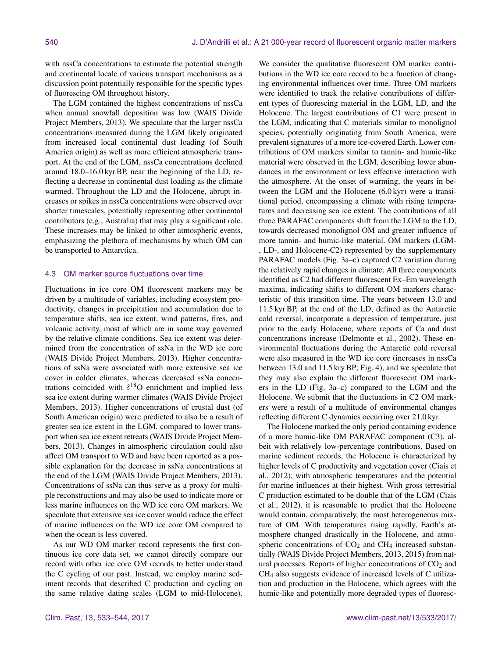with nssCa concentrations to estimate the potential strength and continental locale of various transport mechanisms as a discussion point potentially responsible for the specific types of fluorescing OM throughout history.

The LGM contained the highest concentrations of nssCa when annual snowfall deposition was low (WAIS Divide Project Members, 2013). We speculate that the larger nssCa concentrations measured during the LGM likely originated from increased local continental dust loading (of South America origin) as well as more efficient atmospheric transport. At the end of the LGM, nssCa concentrations declined around 18.0–16.0 kyr BP, near the beginning of the LD, reflecting a decrease in continental dust loading as the climate warmed. Throughout the LD and the Holocene, abrupt increases or spikes in nssCa concentrations were observed over shorter timescales, potentially representing other continental contributors (e.g., Australia) that may play a significant role. These increases may be linked to other atmospheric events, emphasizing the plethora of mechanisms by which OM can be transported to Antarctica.

## 4.3 OM marker source fluctuations over time

Fluctuations in ice core OM fluorescent markers may be driven by a multitude of variables, including ecosystem productivity, changes in precipitation and accumulation due to temperature shifts, sea ice extent, wind patterns, fires, and volcanic activity, most of which are in some way governed by the relative climate conditions. Sea ice extent was determined from the concentration of ssNa in the WD ice core (WAIS Divide Project Members, 2013). Higher concentrations of ssNa were associated with more extensive sea ice cover in colder climates, whereas decreased ssNa concentrations coincided with  $\delta^{18}$ O enrichment and implied less sea ice extent during warmer climates (WAIS Divide Project Members, 2013). Higher concentrations of crustal dust (of South American origin) were predicted to also be a result of greater sea ice extent in the LGM, compared to lower transport when sea ice extent retreats (WAIS Divide Project Members, 2013). Changes in atmospheric circulation could also affect OM transport to WD and have been reported as a possible explanation for the decrease in ssNa concentrations at the end of the LGM (WAIS Divide Project Members, 2013). Concentrations of ssNa can thus serve as a proxy for multiple reconstructions and may also be used to indicate more or less marine influences on the WD ice core OM markers. We speculate that extensive sea ice cover would reduce the effect of marine influences on the WD ice core OM compared to when the ocean is less covered.

As our WD OM marker record represents the first continuous ice core data set, we cannot directly compare our record with other ice core OM records to better understand the C cycling of our past. Instead, we employ marine sediment records that described C production and cycling on the same relative dating scales (LGM to mid-Holocene).

We consider the qualitative fluorescent OM marker contributions in the WD ice core record to be a function of changing environmental influences over time. Three OM markers were identified to track the relative contributions of different types of fluorescing material in the LGM, LD, and the Holocene. The largest contributions of C1 were present in the LGM, indicating that C materials similar to monolignol species, potentially originating from South America, were prevalent signatures of a more ice-covered Earth. Lower contributions of OM markers similar to tannin- and humic-like material were observed in the LGM, describing lower abundances in the environment or less effective interaction with the atmosphere. At the onset of warming, the years in between the LGM and the Holocene (6.0 kyr) were a transitional period, encompassing a climate with rising temperatures and decreasing sea ice extent. The contributions of all three PARAFAC components shift from the LGM to the LD, towards decreased monolignol OM and greater influence of more tannin- and humic-like material. OM markers (LGM- , LD-, and Holocene-C2) represented by the supplementary PARAFAC models (Fig. 3a–c) captured C2 variation during the relatively rapid changes in climate. All three components identified as C2 had different fluorescent Ex–Em wavelength maxima, indicating shifts to different OM markers characteristic of this transition time. The years between 13.0 and 11.5 kyr BP, at the end of the LD, defined as the Antarctic cold reversal, incorporate a depression of temperature, just prior to the early Holocene, where reports of Ca and dust concentrations increase (Delmonte et al., 2002). These environmental fluctuations during the Antarctic cold reversal were also measured in the WD ice core (increases in nssCa between 13.0 and 11.5 kry BP; Fig. 4), and we speculate that they may also explain the different fluorescent OM markers in the LD (Fig. 3a–c) compared to the LGM and the Holocene. We submit that the fluctuations in C2 OM markers were a result of a multitude of environmental changes reflecting different C dynamics occurring over 21.0 kyr.

The Holocene marked the only period containing evidence of a more humic-like OM PARAFAC component (C3), albeit with relatively low-percentage contributions. Based on marine sediment records, the Holocene is characterized by higher levels of C productivity and vegetation cover (Ciais et al., 2012), with atmospheric temperatures and the potential for marine influences at their highest. With gross terrestrial C production estimated to be double that of the LGM (Ciais et al., 2012), it is reasonable to predict that the Holocene would contain, comparatively, the most heterogeneous mixture of OM. With temperatures rising rapidly, Earth's atmosphere changed drastically in the Holocene, and atmospheric concentrations of  $CO<sub>2</sub>$  and  $CH<sub>4</sub>$  increased substantially (WAIS Divide Project Members, 2013, 2015) from natural processes. Reports of higher concentrations of  $CO<sub>2</sub>$  and CH<sup>4</sup> also suggests evidence of increased levels of C utilization and production in the Holocene, which agrees with the humic-like and potentially more degraded types of fluoresc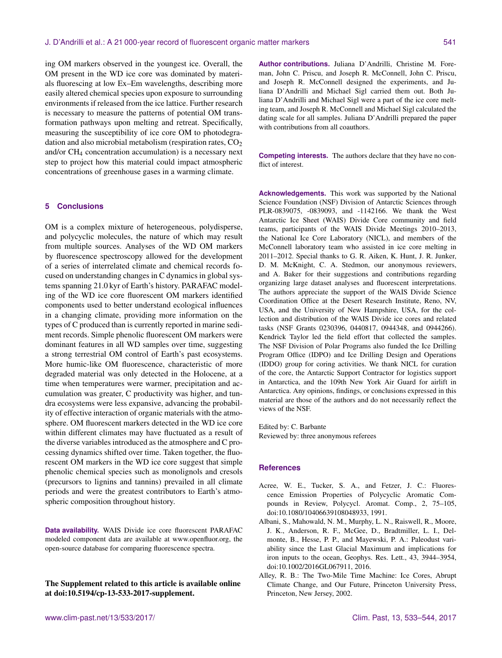ing OM markers observed in the youngest ice. Overall, the OM present in the WD ice core was dominated by materials fluorescing at low Ex–Em wavelengths, describing more easily altered chemical species upon exposure to surrounding environments if released from the ice lattice. Further research is necessary to measure the patterns of potential OM transformation pathways upon melting and retreat. Specifically, measuring the susceptibility of ice core OM to photodegradation and also microbial metabolism (respiration rates,  $CO<sub>2</sub>$ ) and/or CH<sup>4</sup> concentration accumulation) is a necessary next step to project how this material could impact atmospheric concentrations of greenhouse gases in a warming climate.

# **5 Conclusions**

OM is a complex mixture of heterogeneous, polydisperse, and polycyclic molecules, the nature of which may result from multiple sources. Analyses of the WD OM markers by fluorescence spectroscopy allowed for the development of a series of interrelated climate and chemical records focused on understanding changes in C dynamics in global systems spanning 21.0 kyr of Earth's history. PARAFAC modeling of the WD ice core fluorescent OM markers identified components used to better understand ecological influences in a changing climate, providing more information on the types of C produced than is currently reported in marine sediment records. Simple phenolic fluorescent OM markers were dominant features in all WD samples over time, suggesting a strong terrestrial OM control of Earth's past ecosystems. More humic-like OM fluorescence, characteristic of more degraded material was only detected in the Holocene, at a time when temperatures were warmer, precipitation and accumulation was greater, C productivity was higher, and tundra ecosystems were less expansive, advancing the probability of effective interaction of organic materials with the atmosphere. OM fluorescent markers detected in the WD ice core within different climates may have fluctuated as a result of the diverse variables introduced as the atmosphere and C processing dynamics shifted over time. Taken together, the fluorescent OM markers in the WD ice core suggest that simple phenolic chemical species such as monolignols and cresols (precursors to lignins and tannins) prevailed in all climate periods and were the greatest contributors to Earth's atmospheric composition throughout history.

**Data availability.** WAIS Divide ice core fluorescent PARAFAC modeled component data are available at [www.openfluor.org,](www.openfluor.org) the open-source database for comparing fluorescence spectra.

The Supplement related to this article is available online at [doi:10.5194/cp-13-533-2017-supplement.](http://dx.doi.org/10.5194/cp-13-533-2017-supplement)

**Author contributions.** Juliana D'Andrilli, Christine M. Foreman, John C. Priscu, and Joseph R. McConnell, John C. Priscu, and Joseph R. McConnell designed the experiments, and Juliana D'Andrilli and Michael Sigl carried them out. Both Juliana D'Andrilli and Michael Sigl were a part of the ice core melting team, and Joseph R. McConnell and Michael Sigl calculated the dating scale for all samples. Juliana D'Andrilli prepared the paper with contributions from all coauthors.

**Competing interests.** The authors declare that they have no conflict of interest.

**Acknowledgements.** This work was supported by the National Science Foundation (NSF) Division of Antarctic Sciences through PLR-0839075, -0839093, and -1142166. We thank the West Antarctic Ice Sheet (WAIS) Divide Core community and field teams, participants of the WAIS Divide Meetings 2010–2013, the National Ice Core Laboratory (NICL), and members of the McConnell laboratory team who assisted in ice core melting in 2011–2012. Special thanks to G. R. Aiken, K. Hunt, J. R. Junker, D. M. McKnight, C. A. Stedmon, our anonymous reviewers, and A. Baker for their suggestions and contributions regarding organizing large dataset analyses and fluorescent interpretations. The authors appreciate the support of the WAIS Divide Science Coordination Office at the Desert Research Institute, Reno, NV, USA, and the University of New Hampshire, USA, for the collection and distribution of the WAIS Divide ice cores and related tasks (NSF Grants 0230396, 0440817, 0944348, and 0944266). Kendrick Taylor led the field effort that collected the samples. The NSF Division of Polar Programs also funded the Ice Drilling Program Office (IDPO) and Ice Drilling Design and Operations (IDDO) group for coring activities. We thank NICL for curation of the core, the Antarctic Support Contractor for logistics support in Antarctica, and the 109th New York Air Guard for airlift in Antarctica. Any opinions, findings, or conclusions expressed in this material are those of the authors and do not necessarily reflect the views of the NSF.

Edited by: C. Barbante Reviewed by: three anonymous referees

#### **References**

- Acree, W. E., Tucker, S. A., and Fetzer, J. C.: Fluorescence Emission Properties of Polycyclic Aromatic Compounds in Review, Polycycl. Aromat. Comp., 2, 75–105, doi[:10.1080/10406639108048933,](http://dx.doi.org/10.1080/10406639108048933) 1991.
- Albani, S., Mahowald, N. M., Murphy, L. N., Raiswell, R., Moore, J. K., Anderson, R. F., McGee, D., Bradtmiller, L. I., Delmonte, B., Hesse, P. P., and Mayewski, P. A.: Paleodust variability since the Last Glacial Maximum and implications for iron inputs to the ocean, Geophys. Res. Lett., 43, 3944–3954, doi[:10.1002/2016GL067911,](http://dx.doi.org/10.1002/2016GL067911) 2016.
- Alley, R. B.: The Two-Mile Time Machine: Ice Cores, Abrupt Climate Change, and Our Future, Princeton University Press, Princeton, New Jersey, 2002.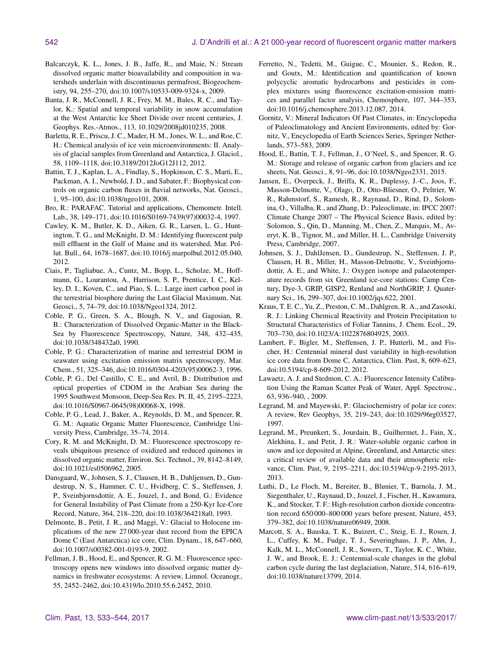- Balcarczyk, K. L., Jones, J. B., Jaffe, R., and Maie, N.: Stream dissolved organic matter bioavailability and composition in watersheds underlain with discontinuous permafrost, Biogeochemistry, 94, 255–270, doi[:10.1007/s10533-009-9324-x,](http://dx.doi.org/10.1007/s10533-009-9324-x) 2009.
- Banta, J. R., McConnell, J. R., Frey, M. M., Bales, R. C., and Taylor, K.: Spatial and temporal variability in snow accumulation at the West Antarctic Ice Sheet Divide over recent centuries, J. Geophys. Res.-Atmos., 113, 10.1029/2008jd010235, 2008.
- Barletta, R. E., Priscu, J. C., Mader, H. M., Jones, W. L., and Roe, C. H.: Chemical analysis of ice vein microenvironments: II. Analysis of glacial samples from Greenland and Antarctica, J. Glaciol., 58, 1109–1118, doi[:10.3189/2012JoG12J112,](http://dx.doi.org/10.3189/2012JoG12J112) 2012.
- Battin, T. J., Kaplan, L. A., Findlay, S., Hopkinson, C. S., Marti, E., Packman, A. I., Newbold, J. D., and Sabater, F.: Biophysical controls on organic carbon fluxes in fluvial networks, Nat. Geosci., 1, 95–100, doi[:10.1038/ngeo101,](http://dx.doi.org/10.1038/ngeo101) 2008.
- Bro, R.: PARAFAC. Tutorial and applications, Chemometr. Intell. Lab., 38, 149–171, doi[:10.1016/S0169-7439\(97\)00032-4,](http://dx.doi.org/10.1016/S0169-7439(97)00032-4) 1997.
- Cawley, K. M., Butler, K. D., Aiken, G. R., Larsen, L. G., Huntington, T. G., and McKnight, D. M.: Identifying fluorescent pulp mill effluent in the Gulf of Maine and its watershed, Mar. Pollut. Bull., 64, 1678–1687, doi[:10.1016/j.marpolbul.2012.05.040,](http://dx.doi.org/10.1016/j.marpolbul.2012.05.040) 2012.
- Ciais, P., Tagliabue, A., Cuntz, M., Bopp, L., Scholze, M., Hoffmann, G., Lourantou, A., Harrison, S. P., Prentice, I. C., Kelley, D. I., Koven, C., and Piao, S. L.: Large inert carbon pool in the terrestrial biosphere during the Last Glacial Maximum, Nat. Geosci., 5, 74–79, doi[:10.1038/Ngeo1324,](http://dx.doi.org/10.1038/Ngeo1324) 2012.
- Coble, P. G., Green, S. A., Blough, N. V., and Gagosian, R. B.: Characterization of Dissolved Organic-Matter in the Black-Sea by Fluorescence Spectroscopy, Nature, 348, 432–435, doi[:10.1038/348432a0,](http://dx.doi.org/10.1038/348432a0) 1990.
- Coble, P. G.: Characterization of marine and terrestrial DOM in seawater using excitation emission matrix spectroscopy, Mar. Chem., 51, 325–346, doi[:10.1016/0304-4203\(95\)00062-3,](http://dx.doi.org/10.1016/0304-4203(95)00062-3) 1996.
- Coble, P. G., Del Castillo, C. E., and Avril, B.: Distribution and optical properties of CDOM in the Arabian Sea during the 1995 Southwest Monsoon, Deep-Sea Res. Pt. II, 45, 2195–2223, doi[:10.1016/S0967-0645\(98\)00068-X,](http://dx.doi.org/10.1016/S0967-0645(98)00068-X) 1998.
- Coble, P. G., Lead, J., Baker, A., Reynolds, D. M., and Spencer, R. G. M.: Aquatic Organic Matter Fluorescence, Cambridge University Press, Cambridge, 35–74, 2014.
- Cory, R. M. and McKnight, D. M.: Fluorescence spectroscopy reveals ubiquitous presence of oxidized and reduced quinones in dissolved organic matter, Environ. Sci. Technol., 39, 8142–8149, doi[:10.1021/es0506962,](http://dx.doi.org/10.1021/es0506962) 2005.
- Dansgaard, W., Johnsen, S. J., Clausen, H. B., Dahljensen, D., Gundestrup, N. S., Hammer, C. U., Hvidberg, C. S., Steffensen, J. P., Sveinbjornsdottir, A. E., Jouzel, J., and Bond, G.: Evidence for General Instability of Past Climate from a 250-Kyr Ice-Core Record, Nature, 364, 218–220, doi[:10.1038/364218a0,](http://dx.doi.org/10.1038/364218a0) 1993.
- Delmonte, B., Petit, J. R., and Maggi, V.: Glacial to Holocene implications of the new 27 000-year dust record from the EPICA Dome C (East Antarctica) ice core, Clim. Dynam., 18, 647–660, doi[:10.1007/s00382-001-0193-9,](http://dx.doi.org/10.1007/s00382-001-0193-9) 2002.
- Fellman, J. B., Hood, E., and Spencer, R. G. M.: Fluorescence spectroscopy opens new windows into dissolved organic matter dynamics in freshwater ecosystems: A review, Limnol. Oceanogr., 55, 2452–2462, doi[:10.4319/lo.2010.55.6.2452,](http://dx.doi.org/10.4319/lo.2010.55.6.2452) 2010.
- Ferretto, N., Tedetti, M., Guigue, C., Mounier, S., Redon, R., and Goutx, M.: Identification and quantification of known polycyclic aromatic hydrocarbons and pesticides in complex mixtures using fluorescence excitation-emission matrices and parallel factor analysis, Chemosphere, 107, 344–353, doi[:10.1016/j.chemosphere.2013.12.087,](http://dx.doi.org/10.1016/j.chemosphere.2013.12.087) 2014.
- Gornitz, V.: Mineral Indicators Of Past Climates, in: Encyclopedia of Paleoclimatology and Ancient Environments, edited by: Gornitz, V., Encyclopedia of Earth Sciences Series, Springer Netherlands, 573–583, 2009.
- Hood, E., Battin, T. J., Fellman, J., O'Neel, S., and Spencer, R. G. M.: Storage and release of organic carbon from glaciers and ice sheets, Nat. Geosci., 8, 91–96, doi[:10.1038/Ngeo2331,](http://dx.doi.org/10.1038/Ngeo2331) 2015.
- Jansen, E., Overpeck, J., Briffa, K. R., Duplessy, J.-C., Joos, F., Masson-Delmotte, V., Olago, D., Otto-Bliesner, O., Peltrier, W. R., Rahmstorf, S., Ramesh, R., Raynaud, D., Rind, D., Solomina, O., Villalba, R., and Zhang, D.: Paleoclimate, in: IPCC 2007: Climate Change 2007 – The Physical Science Basis, edited by: Solomon, S., Qin, D., Manning, M., Chen, Z., Marquis, M., Averyt, K. B., Tignor, M., and Miller, H. L., Cambridge University Press, Cambridge, 2007.
- Johnsen, S. J., DahlJensen, D., Gundestrup, N., Steffensen, J. P., Clausen, H. B., Miller, H., Masson-Delmotte, V., Sveinbjornsdottir, A. E., and White, J.: Oxygen isotope and palaeotemperature records from six Greenland ice-core stations: Camp Century, Dye-3, GRIP, GISP2, Renland and NorthGRIP, J. Quaternary Sci., 16, 299–307, doi[:10.1002/jqs.622,](http://dx.doi.org/10.1002/jqs.622) 2001.
- Kraus, T. E. C., Yu, Z., Preston, C. M., Dahlgren, R. A., and Zasoski, R. J.: Linking Chemical Reactivity and Protein Precipitation to Structural Characteristics of Foliar Tannins, J. Chem. Ecol., 29, 703–730, doi[:10.1023/A:1022876804925,](http://dx.doi.org/10.1023/A:1022876804925) 2003.
- Lambert, F., Bigler, M., Steffensen, J. P., Hutterli, M., and Fischer, H.: Centennial mineral dust variability in high-resolution ice core data from Dome C, Antarctica, Clim. Past, 8, 609–623, doi[:10.5194/cp-8-609-2012,](http://dx.doi.org/10.5194/cp-8-609-2012) 2012.
- Lawaetz, A. J. and Stedmon, C. A.: Fluorescence Intensity Calibration Using the Raman Scatter Peak of Water, Appl. Spectrosc., 63, 936–940, , 2009.
- Legrand, M. and Mayewski, P.: Glaciochemistry of polar ice cores: A review, Rev Geophys, 35, 219–243, doi[:10.1029/96rg03527,](http://dx.doi.org/10.1029/96rg03527) 1997.
- Legrand, M., Preunkert, S., Jourdain, B., Guilhermet, J., Fain, X., Alekhina, I., and Petit, J. R.: Water-soluble organic carbon in snow and ice deposited at Alpine, Greenland, and Antarctic sites: a critical review of available data and their atmospheric relevance, Clim. Past, 9, 2195–2211, doi[:10.5194/cp-9-2195-2013,](http://dx.doi.org/10.5194/cp-9-2195-2013) 2013.
- Luthi, D., Le Floch, M., Bereiter, B., Blunier, T., Barnola, J. M., Siegenthaler, U., Raynaud, D., Jouzel, J., Fischer, H., Kawamura, K., and Stocker, T. F.: High-resolution carbon dioxide concentration record 650 000–800 000 years before present, Nature, 453, 379–382, doi[:10.1038/nature06949,](http://dx.doi.org/10.1038/nature06949) 2008.
- Marcott, S. A., Bauska, T. K., Buizert, C., Steig, E. J., Rosen, J. L., Cuffey, K. M., Fudge, T. J., Severinghaus, J. P., Ahn, J., Kalk, M. L., McConnell, J. R., Sowers, T., Taylor, K. C., White, J. W., and Brook, E. J.: Centennial-scale changes in the global carbon cycle during the last deglaciation, Nature, 514, 616–619, doi[:10.1038/nature13799,](http://dx.doi.org/10.1038/nature13799) 2014.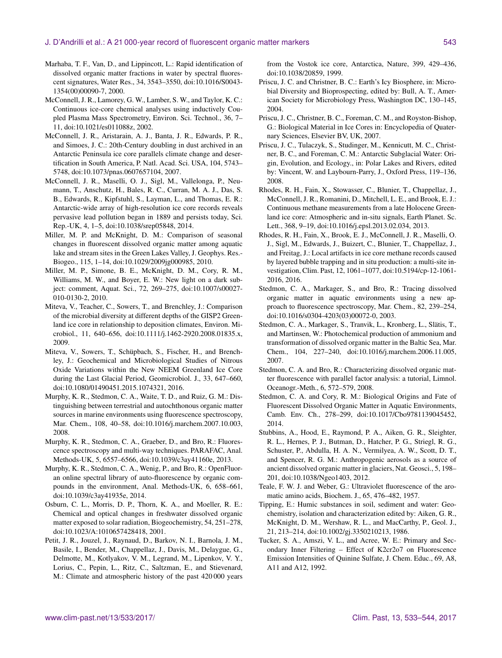## J. D'Andrilli et al.: A 21 000-year record of fluorescent organic matter markers 543

- Marhaba, T. F., Van, D., and Lippincott, L.: Rapid identification of dissolved organic matter fractions in water by spectral fluorescent signatures, Water Res., 34, 3543–3550, doi[:10.1016/S0043-](http://dx.doi.org/10.1016/S0043-1354(00)00090-7) [1354\(00\)00090-7,](http://dx.doi.org/10.1016/S0043-1354(00)00090-7) 2000.
- McConnell, J. R., Lamorey, G. W., Lamber, S. W., and Taylor, K. C.: Continuous ice-core chemical analyses using inductively Coupled Plasma Mass Spectrometry, Environ. Sci. Technol., 36, 7– 11, doi[:10.1021/es011088z,](http://dx.doi.org/10.1021/es011088z) 2002.
- McConnell, J. R., Aristarain, A. J., Banta, J. R., Edwards, P. R., and Simoes, J. C.: 20th-Century doubling in dust archived in an Antarctic Peninsula ice core parallels climate change and desertification in South America, P. Natl. Acad. Sci. USA, 104, 5743– 5748, doi[:10.1073/pnas.0607657104,](http://dx.doi.org/10.1073/pnas.0607657104) 2007.
- McConnell, J. R., Maselli, O. J., Sigl, M., Vallelonga, P., Neumann, T., Anschutz, H., Bales, R. C., Curran, M. A. J., Das, S. B., Edwards, R., Kipfstuhl, S., Layman, L., and Thomas, E. R.: Antarctic-wide array of high-resolution ice core records reveals pervasive lead pollution began in 1889 and persists today, Sci. Rep.-UK, 4, 1–5, doi[:10.1038/srep05848,](http://dx.doi.org/10.1038/srep05848) 2014.
- Miller, M. P. and McKnight, D. M.: Comparison of seasonal changes in fluorescent dissolved organic matter among aquatic lake and stream sites in the Green Lakes Valley, J. Geophys. Res.- Biogeo., 115, 1–14, doi[:10.1029/2009jg000985,](http://dx.doi.org/10.1029/2009jg000985) 2010.
- Miller, M. P., Simone, B. E., McKnight, D. M., Cory, R. M., Williams, M. W., and Boyer, E. W.: New light on a dark subject: comment, Aquat. Sci., 72, 269–275, doi[:10.1007/s00027-](http://dx.doi.org/10.1007/s00027-010-0130-2) [010-0130-2,](http://dx.doi.org/10.1007/s00027-010-0130-2) 2010.
- Miteva, V., Teacher, C., Sowers, T., and Brenchley, J.: Comparison of the microbial diversity at different depths of the GISP2 Greenland ice core in relationship to deposition climates, Environ. Microbiol., 11, 640–656, doi[:10.1111/j.1462-2920.2008.01835.x,](http://dx.doi.org/10.1111/j.1462-2920.2008.01835.x) 2009.
- Miteva, V., Sowers, T., Schüpbach, S., Fischer, H., and Brenchley, J.: Geochemical and Microbiological Studies of Nitrous Oxide Variations within the New NEEM Greenland Ice Core during the Last Glacial Period, Geomicrobiol. J., 33, 647–660, doi[:10.1080/01490451.2015.1074321,](http://dx.doi.org/10.1080/01490451.2015.1074321) 2016.
- Murphy, K. R., Stedmon, C. A., Waite, T. D., and Ruiz, G. M.: Distinguishing between terrestrial and autochthonous organic matter sources in marine environments using fluorescence spectroscopy, Mar. Chem., 108, 40–58, doi[:10.1016/j.marchem.2007.10.003,](http://dx.doi.org/10.1016/j.marchem.2007.10.003) 2008.
- Murphy, K. R., Stedmon, C. A., Graeber, D., and Bro, R.: Fluorescence spectroscopy and multi-way techniques. PARAFAC, Anal. Methods-UK, 5, 6557–6566, doi[:10.1039/c3ay41160e,](http://dx.doi.org/10.1039/c3ay41160e) 2013.
- Murphy, K. R., Stedmon, C. A., Wenig, P., and Bro, R.: OpenFluoran online spectral library of auto-fluorescence by organic compounds in the environment, Anal. Methods-UK, 6, 658–661, doi[:10.1039/c3ay41935e,](http://dx.doi.org/10.1039/c3ay41935e) 2014.
- Osburn, C. L., Morris, D. P., Thorn, K. A., and Moeller, R. E.: Chemical and optical changes in freshwater dissolved organic matter exposed to solar radiation, Biogeochemistry, 54, 251–278, doi[:10.1023/A:1010657428418,](http://dx.doi.org/10.1023/A:1010657428418) 2001.
- Petit, J. R., Jouzel, J., Raynaud, D., Barkov, N. I., Barnola, J. M., Basile, I., Bender, M., Chappellaz, J., Davis, M., Delaygue, G., Delmotte, M., Kotlyakov, V. M., Legrand, M., Lipenkov, V. Y., Lorius, C., Pepin, L., Ritz, C., Saltzman, E., and Stievenard, M.: Climate and atmospheric history of the past 420 000 years

from the Vostok ice core, Antarctica, Nature, 399, 429–436, doi[:10.1038/20859,](http://dx.doi.org/10.1038/20859) 1999.

- Priscu, J. C. and Christner, B. C.: Earth's Icy Biosphere, in: Microbial Diversity and Bioprospecting, edited by: Bull, A. T., American Society for Microbiology Press, Washington DC, 130–145, 2004.
- Priscu, J. C., Christner, B. C., Foreman, C. M., and Royston-Bishop, G.: Biological Material in Ice Cores in: Encyclopedia of Quaternary Sciences, Elsevier BV, UK, 2007.
- Priscu, J. C., Tulaczyk, S., Studinger, M., Kennicutt, M. C., Christner, B. C., and Foreman, C. M.: Antarctic Subglacial Water: Origin, Evolution, and Ecology., in: Polar Lakes and Rivers, edited by: Vincent, W. and Laybourn-Parry, J., Oxford Press, 119–136, 2008.
- Rhodes, R. H., Fain, X., Stowasser, C., Blunier, T., Chappellaz, J., McConnell, J. R., Romanini, D., Mitchell, L. E., and Brook, E. J.: Continuous methane measurements from a late Holocene Greenland ice core: Atmospheric and in-situ signals, Earth Planet. Sc. Lett., 368, 9–19, doi[:10.1016/j.epsl.2013.02.034,](http://dx.doi.org/10.1016/j.epsl.2013.02.034) 2013.
- Rhodes, R. H., Fain, X., Brook, E. J., McConnell, J. R., Maselli, O. J., Sigl, M., Edwards, J., Buizert, C., Blunier, T., Chappellaz, J., and Freitag, J.: Local artifacts in ice core methane records caused by layered bubble trapping and in situ production: a multi-site investigation, Clim. Past, 12, 1061–1077, doi[:10.5194/cp-12-1061-](http://dx.doi.org/10.5194/cp-12-1061-2016) [2016,](http://dx.doi.org/10.5194/cp-12-1061-2016) 2016.
- Stedmon, C. A., Markager, S., and Bro, R.: Tracing dissolved organic matter in aquatic environments using a new approach to fluorescence spectroscopy, Mar. Chem., 82, 239–254, doi[:10.1016/s0304-4203\(03\)00072-0,](http://dx.doi.org/10.1016/s0304-4203(03)00072-0) 2003.
- Stedmon, C. A., Markager, S., Tranvik, L., Kronberg, L., Slätis, T., and Martinsen, W.: Photochemical production of ammonium and transformation of dissolved organic matter in the Baltic Sea, Mar. Chem., 104, 227–240, doi[:10.1016/j.marchem.2006.11.005,](http://dx.doi.org/10.1016/j.marchem.2006.11.005) 2007.
- Stedmon, C. A. and Bro, R.: Characterizing dissolved organic matter fluorescence with parallel factor analysis: a tutorial, Limnol. Oceanogr.-Meth., 6, 572–579, 2008.
- Stedmon, C. A. and Cory, R. M.: Biological Origins and Fate of Fluorescent Dissolved Organic Matter in Aquatic Environments, Camb. Env. Ch., 278–299, doi[:10.1017/Cbo9781139045452,](http://dx.doi.org/10.1017/Cbo9781139045452) 2014.
- Stubbins, A., Hood, E., Raymond, P. A., Aiken, G. R., Sleighter, R. L., Hernes, P. J., Butman, D., Hatcher, P. G., Striegl, R. G., Schuster, P., Abdulla, H. A. N., Vermilyea, A. W., Scott, D. T., and Spencer, R. G. M.: Anthropogenic aerosols as a source of ancient dissolved organic matter in glaciers, Nat. Geosci., 5, 198– 201, doi[:10.1038/Ngeo1403,](http://dx.doi.org/10.1038/Ngeo1403) 2012.
- Teale, F. W. J. and Weber, G.: Ultraviolet fluorescence of the aromatic amino acids, Biochem. J., 65, 476–482, 1957.
- Tipping, E.: Humic substances in soil, sediment and water: Geochemistry, isolation and characterization edited by: Aiken, G. R., McKnight, D. M., Wershaw, R. L., and MacCarthy, P., Geol. J., 21, 213–214, doi[:10.1002/gj.3350210213,](http://dx.doi.org/10.1002/gj.3350210213) 1986.
- Tucker, S. A., Amszi, V. L., and Acree, W. E.: Primary and Secondary Inner Filtering – Effect of K2cr2o7 on Fluorescence Emission Intensities of Quinine Sulfate, J. Chem. Educ., 69, A8, A11 and A12, 1992.